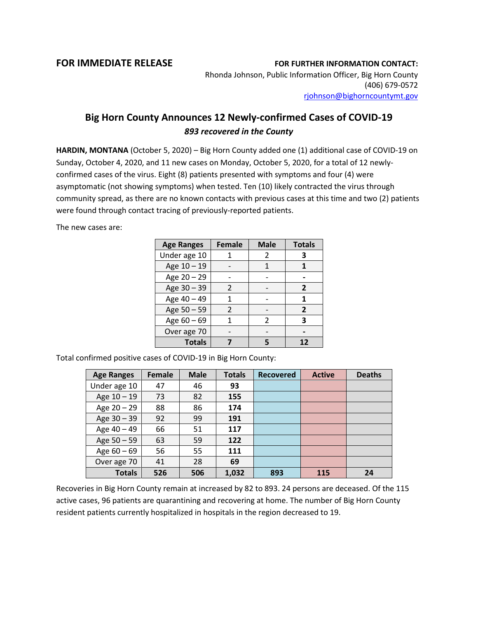## **FOR IMMEDIATE RELEASE FOR FURTHER INFORMATION CONTACT:**

Rhonda Johnson, Public Information Officer, Big Horn County (406) 679-0572 [rjohnson@bighorncountymt.gov](mailto:rjohnson@bighorncountymt.gov)

## **Big Horn County Announces 12 Newly-confirmed Cases of COVID-19** *893 recovered in the County*

**HARDIN, MONTANA** (October 5, 2020) – Big Horn County added one (1) additional case of COVID-19 on Sunday, October 4, 2020, and 11 new cases on Monday, October 5, 2020, for a total of 12 newlyconfirmed cases of the virus. Eight (8) patients presented with symptoms and four (4) were asymptomatic (not showing symptoms) when tested. Ten (10) likely contracted the virus through community spread, as there are no known contacts with previous cases at this time and two (2) patients were found through contact tracing of previously-reported patients.

The new cases are:

| <b>Age Ranges</b> | <b>Female</b> | <b>Male</b> | <b>Totals</b> |  |
|-------------------|---------------|-------------|---------------|--|
| Under age 10      |               | 2           | 3             |  |
| Age 10 - 19       |               | 1           |               |  |
| Age 20 - 29       |               |             |               |  |
| Age 30 - 39       | 2             |             | 2             |  |
| Age 40 - 49       | 1             |             | 1             |  |
| Age 50 - 59       | $\mathcal{P}$ |             | 2             |  |
| Age $60 - 69$     |               | 2           | 3             |  |
| Over age 70       |               |             |               |  |
| <b>Totals</b>     |               |             | 12            |  |

Total confirmed positive cases of COVID-19 in Big Horn County:

| <b>Age Ranges</b> | <b>Female</b> | <b>Male</b> | <b>Totals</b> | <b>Recovered</b> | <b>Active</b> | <b>Deaths</b> |
|-------------------|---------------|-------------|---------------|------------------|---------------|---------------|
| Under age 10      | 47            | 46          | 93            |                  |               |               |
| Age 10 - 19       | 73            | 82          | 155           |                  |               |               |
| Age 20 - 29       | 88            | 86          | 174           |                  |               |               |
| Age 30 - 39       | 92            | 99          | 191           |                  |               |               |
| Age 40 - 49       | 66            | 51          | 117           |                  |               |               |
| Age 50 - 59       | 63            | 59          | 122           |                  |               |               |
| Age $60 - 69$     | 56            | 55          | 111           |                  |               |               |
| Over age 70       | 41            | 28          | 69            |                  |               |               |
| <b>Totals</b>     | 526           | 506         | 1,032         | 893              | 115           | 24            |

Recoveries in Big Horn County remain at increased by 82 to 893. 24 persons are deceased. Of the 115 active cases, 96 patients are quarantining and recovering at home. The number of Big Horn County resident patients currently hospitalized in hospitals in the region decreased to 19.